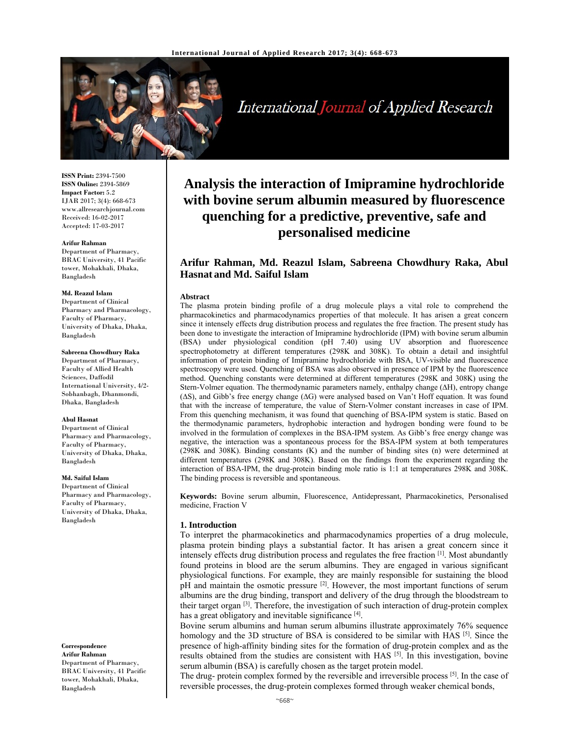

International Journal of Applied Research

**ISSN Print:** 2394-7500 **ISSN Online:** 2394-5869 **Impact Factor:** 5.2 IJAR 2017; 3(4): 668-673 www.allresearchjournal.com Received: 16-02-2017 Accepted: 17-03-2017

#### **Arifur Rahman**

Department of Pharmacy, BRAC University, 41 Pacific tower, Mohakhali, Dhaka, Bangladesh

#### **Md. Reazul Islam**

Department of Clinical Pharmacy and Pharmacology, Faculty of Pharmacy, University of Dhaka, Dhaka, Bangladesh

# **Sabreena Chowdhury Raka**

Department of Pharmacy, Faculty of Allied Health Sciences, Daffodil International University, 4/2- Sobhanbagh, Dhanmondi, Dhaka, Bangladesh

#### **Abul Hasnat**

Department of Clinical Pharmacy and Pharmacology, Faculty of Pharmacy, University of Dhaka, Dhaka, Bangladesh

#### **Md. Saiful Islam**

Department of Clinical Pharmacy and Pharmacology, Faculty of Pharmacy, University of Dhaka, Dhaka, Bangladesh

**Correspondence Arifur Rahman**  Department of Pharmacy, BRAC University, 41 Pacific tower, Mohakhali, Dhaka, Bangladesh

# **Analysis the interaction of Imipramine hydrochloride with bovine serum albumin measured by fluorescence quenching for a predictive, preventive, safe and personalised medicine**

# **Arifur Rahman, Md. Reazul Islam, Sabreena Chowdhury Raka, Abul Hasnat and Md. Saiful Islam**

#### **Abstract**

The plasma protein binding profile of a drug molecule plays a vital role to comprehend the pharmacokinetics and pharmacodynamics properties of that molecule. It has arisen a great concern since it intensely effects drug distribution process and regulates the free fraction. The present study has been done to investigate the interaction of Imipramine hydrochloride (IPM) with bovine serum albumin (BSA) under physiological condition (pH 7.40) using UV absorption and fluorescence spectrophotometry at different temperatures (298K and 308K). To obtain a detail and insightful information of protein binding of Imipramine hydrochloride with BSA, UV-visible and fluorescence spectroscopy were used. Quenching of BSA was also observed in presence of IPM by the fluorescence method. Quenching constants were determined at different temperatures (298K and 308K) using the Stern-Volmer equation. The thermodynamic parameters namely, enthalpy change (∆H), entropy change (∆S), and Gibb's free energy change (∆G) were analysed based on Van't Hoff equation. It was found that with the increase of temperature, the value of Stern-Volmer constant increases in case of IPM. From this quenching mechanism, it was found that quenching of BSA-IPM system is static. Based on the thermodynamic parameters, hydrophobic interaction and hydrogen bonding were found to be involved in the formulation of complexes in the BSA-IPM system. As Gibb's free energy change was negative, the interaction was a spontaneous process for the BSA-IPM system at both temperatures (298K and 308K). Binding constants (K) and the number of binding sites (n) were determined at different temperatures (298K and 308K). Based on the findings from the experiment regarding the interaction of BSA-IPM, the drug-protein binding mole ratio is 1:1 at temperatures 298K and 308K. The binding process is reversible and spontaneous.

**Keywords:** Bovine serum albumin, Fluorescence, Antidepressant, Pharmacokinetics, Personalised medicine, Fraction V

## **1. Introduction**

To interpret the pharmacokinetics and pharmacodynamics properties of a drug molecule, plasma protein binding plays a substantial factor. It has arisen a great concern since it intensely effects drug distribution process and regulates the free fraction [1]. Most abundantly found proteins in blood are the serum albumins. They are engaged in various significant physiological functions. For example, they are mainly responsible for sustaining the blood pH and maintain the osmotic pressure  $^{[2]}$ . However, the most important functions of serum albumins are the drug binding, transport and delivery of the drug through the bloodstream to their target organ  $[3]$ . Therefore, the investigation of such interaction of drug-protein complex has a great obligatory and inevitable significance [4].

Bovine serum albumins and human serum albumins illustrate approximately 76% sequence homology and the 3D structure of BSA is considered to be similar with HAS  $[5]$ . Since the presence of high-affinity binding sites for the formation of drug-protein complex and as the results obtained from the studies are consistent with HAS  $[5]$ . In this investigation, bovine serum albumin (BSA) is carefully chosen as the target protein model.

The drug- protein complex formed by the reversible and irreversible process [5]. In the case of reversible processes, the drug-protein complexes formed through weaker chemical bonds,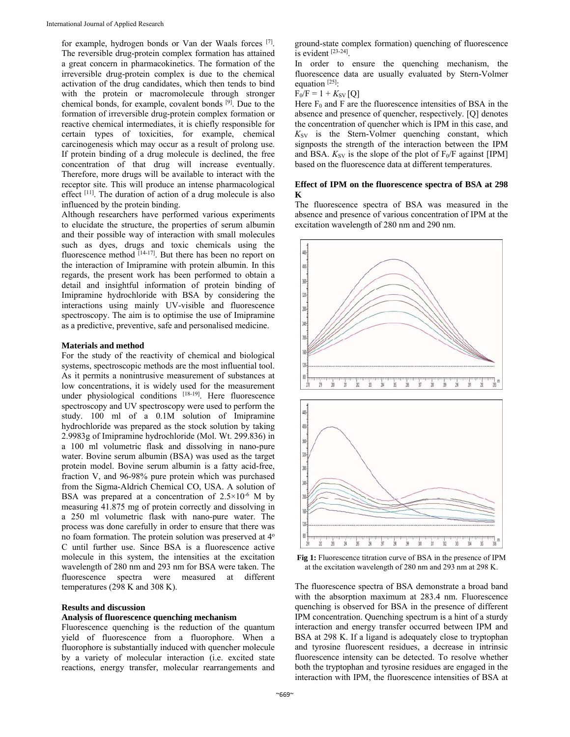for example, hydrogen bonds or Van der Waals forces [7]. The reversible drug-protein complex formation has attained a great concern in pharmacokinetics. The formation of the irreversible drug-protein complex is due to the chemical activation of the drug candidates, which then tends to bind with the protein or macromolecule through stronger chemical bonds, for example, covalent bonds [9]. Due to the formation of irreversible drug-protein complex formation or reactive chemical intermediates, it is chiefly responsible for certain types of toxicities, for example, chemical carcinogenesis which may occur as a result of prolong use. If protein binding of a drug molecule is declined, the free concentration of that drug will increase eventually. Therefore, more drugs will be available to interact with the receptor site. This will produce an intense pharmacological effect [11]. The duration of action of a drug molecule is also influenced by the protein binding.

Although researchers have performed various experiments to elucidate the structure, the properties of serum albumin and their possible way of interaction with small molecules such as dyes, drugs and toxic chemicals using the fluorescence method [14-17]. But there has been no report on the interaction of Imipramine with protein albumin. In this regards, the present work has been performed to obtain a detail and insightful information of protein binding of Imipramine hydrochloride with BSA by considering the interactions using mainly UV-visible and fluorescence spectroscopy. The aim is to optimise the use of Imipramine as a predictive, preventive, safe and personalised medicine.

## **Materials and method**

For the study of the reactivity of chemical and biological systems, spectroscopic methods are the most influential tool. As it permits a nonintrusive measurement of substances at low concentrations, it is widely used for the measurement under physiological conditions [18-19]. Here fluorescence spectroscopy and UV spectroscopy were used to perform the study. 100 ml of a 0.1M solution of Imipramine hydrochloride was prepared as the stock solution by taking 2.9983g of Imipramine hydrochloride (Mol. Wt. 299.836) in a 100 ml volumetric flask and dissolving in nano-pure water. Bovine serum albumin (BSA) was used as the target protein model. Bovine serum albumin is a fatty acid-free, fraction V, and 96-98% pure protein which was purchased from the Sigma-Aldrich Chemical CO, USA. A solution of BSA was prepared at a concentration of  $2.5 \times 10^{-6}$  M by measuring 41.875 mg of protein correctly and dissolving in a 250 ml volumetric flask with nano-pure water. The process was done carefully in order to ensure that there was no foam formation. The protein solution was preserved at 4o C until further use. Since BSA is a fluorescence active molecule in this system, the intensities at the excitation wavelength of 280 nm and 293 nm for BSA were taken. The fluorescence spectra were measured at different temperatures (298 K and 308 K).

#### **Results and discussion**

## **Analysis of fluorescence quenching mechanism**

Fluorescence quenching is the reduction of the quantum yield of fluorescence from a fluorophore. When a fluorophore is substantially induced with quencher molecule by a variety of molecular interaction (i.e. excited state reactions, energy transfer, molecular rearrangements and

ground-state complex formation) quenching of fluorescence is evident [23-24].

In order to ensure the quenching mechanism, the fluorescence data are usually evaluated by Stern-Volmer equation  $[25]$ :

$$
F_0/F = 1 + K_{SV}[Q]
$$

Here  $F_0$  and F are the fluorescence intensities of BSA in the absence and presence of quencher, respectively. [Q] denotes the concentration of quencher which is IPM in this case, and  $K_{SV}$  is the Stern-Volmer quenching constant, which signposts the strength of the interaction between the IPM and BSA.  $K_{SV}$  is the slope of the plot of  $F_0/F$  against [IPM] based on the fluorescence data at different temperatures.

# **Effect of IPM on the fluorescence spectra of BSA at 298 K**

The fluorescence spectra of BSA was measured in the absence and presence of various concentration of IPM at the excitation wavelength of 280 nm and 290 nm.



**Fig 1:** Fluorescence titration curve of BSA in the presence of IPM at the excitation wavelength of 280 nm and 293 nm at 298 K.

The fluorescence spectra of BSA demonstrate a broad band with the absorption maximum at 283.4 nm. Fluorescence quenching is observed for BSA in the presence of different IPM concentration. Quenching spectrum is a hint of a sturdy interaction and energy transfer occurred between IPM and BSA at 298 K. If a ligand is adequately close to tryptophan and tyrosine fluorescent residues, a decrease in intrinsic fluorescence intensity can be detected. To resolve whether both the tryptophan and tyrosine residues are engaged in the interaction with IPM, the fluorescence intensities of BSA at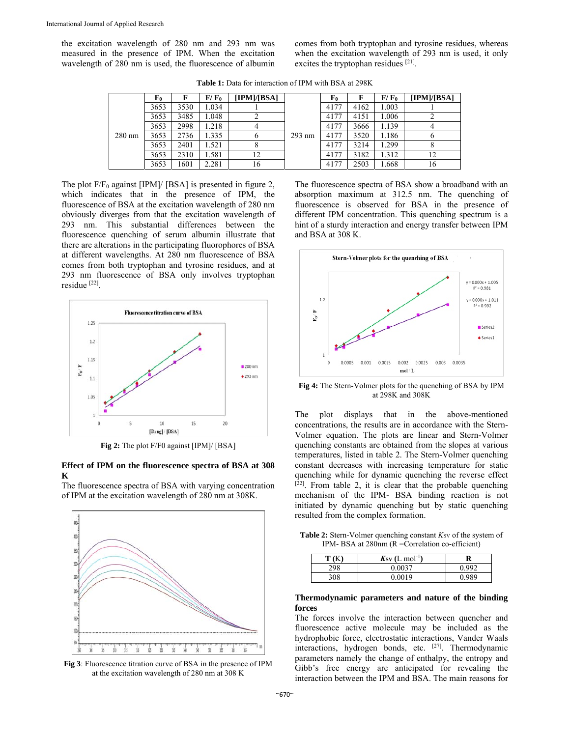the excitation wavelength of 280 nm and 293 nm was measured in the presence of IPM. When the excitation wavelength of 280 nm is used, the fluorescence of albumin comes from both tryptophan and tyrosine residues, whereas when the excitation wavelength of 293 nm is used, it only excites the tryptophan residues [21].

| $280$ nm | F0   | F    | F/F <sub>0</sub> | [IPM]/[BSA] |          | F0   |      | F/F <sub>0</sub> | [IPM]/[BSA] |
|----------|------|------|------------------|-------------|----------|------|------|------------------|-------------|
|          | 3653 | 3530 | 1.034            |             |          | 4177 | 4162 | 1.003            |             |
|          | 3653 | 3485 | 1.048            |             | $293$ nm | 4177 | 4151 | 1.006            |             |
|          | 3653 | 2998 | 1.218            |             |          | 4177 | 3666 | 1.139            |             |
|          | 3653 | 2736 | 1.335            |             |          | 4177 | 3520 | 1.186            |             |
|          | 3653 | 2401 | .521             |             |          | 4177 | 3214 | .299             |             |
|          | 3653 | 2310 | l.581            | 12          |          | 4177 | 3182 | 1.312            | 12          |
|          | 3653 | 1601 | 2.281            | 16          |          | 4177 | 2503 | 1.668            | 16          |

**Table 1:** Data for interaction of IPM with BSA at 298K

The plot  $F/F_0$  against [IPM]/ [BSA] is presented in figure 2, which indicates that in the presence of IPM, the fluorescence of BSA at the excitation wavelength of 280 nm obviously diverges from that the excitation wavelength of 293 nm. This substantial differences between the fluorescence quenching of serum albumin illustrate that there are alterations in the participating fluorophores of BSA at different wavelengths. At 280 nm fluorescence of BSA comes from both tryptophan and tyrosine residues, and at 293 nm fluorescence of BSA only involves tryptophan residue [22].



**Fig 2:** The plot F/F0 against [IPM]/ [BSA]

## **Effect of IPM on the fluorescence spectra of BSA at 308 K**

The fluorescence spectra of BSA with varying concentration of IPM at the excitation wavelength of 280 nm at 308K.



**Fig 3**: Fluorescence titration curve of BSA in the presence of IPM at the excitation wavelength of 280 nm at 308 K

The fluorescence spectra of BSA show a broadband with an absorption maximum at 312.5 nm. The quenching of fluorescence is observed for BSA in the presence of different IPM concentration. This quenching spectrum is a hint of a sturdy interaction and energy transfer between IPM and BSA at 308 K.



**Fig 4:** The Stern-Volmer plots for the quenching of BSA by IPM at 298K and 308K

The plot displays that in the above-mentioned concentrations, the results are in accordance with the Stern-Volmer equation. The plots are linear and Stern-Volmer quenching constants are obtained from the slopes at various temperatures, listed in table 2. The Stern-Volmer quenching constant decreases with increasing temperature for static quenching while for dynamic quenching the reverse effect  $[22]$ . From table 2, it is clear that the probable quenching mechanism of the IPM- BSA binding reaction is not initiated by dynamic quenching but by static quenching resulted from the complex formation.

**Table 2:** Stern-Volmer quenching constant  $K_{SV}$  of the system of IPM- BSA at 280nm (R =Correlation co-efficient)

| T(T) | $K_{SV}$ (L mol <sup>-1</sup> ) | R     |  |  |
|------|---------------------------------|-------|--|--|
| 298  | 0.0037                          |       |  |  |
| 308  | 0.0019                          | N 989 |  |  |

## **Thermodynamic parameters and nature of the binding forces**

The forces involve the interaction between quencher and fluorescence active molecule may be included as the hydrophobic force, electrostatic interactions, Vander Waals interactions, hydrogen bonds, etc. [27]. Thermodynamic parameters namely the change of enthalpy, the entropy and Gibb's free energy are anticipated for revealing the interaction between the IPM and BSA. The main reasons for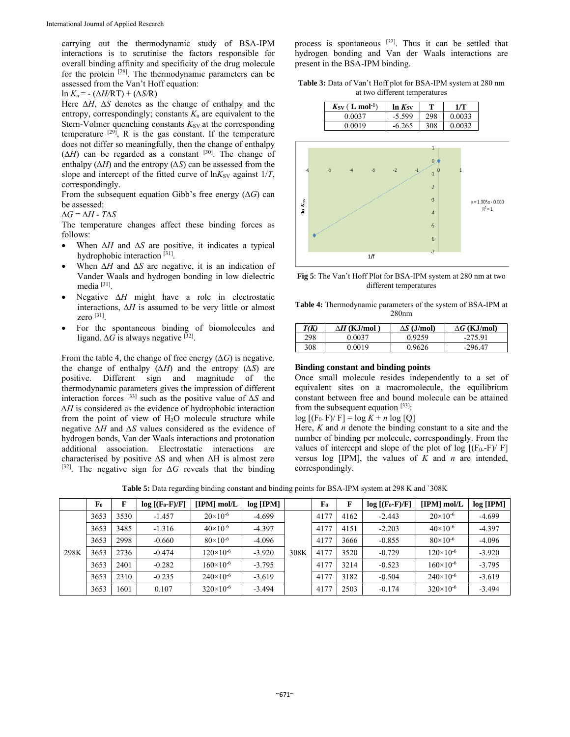carrying out the thermodynamic study of BSA-IPM interactions is to scrutinise the factors responsible for overall binding affinity and specificity of the drug molecule for the protein [28]. The thermodynamic parameters can be assessed from the Van't Hoff equation:

ln  $K_a$  = - ( $\Delta H / RT$ ) + ( $\Delta S / R$ )

Here ∆*H*, ∆*S* denotes as the change of enthalpy and the entropy, correspondingly; constants  $K_a$  are equivalent to the Stern-Volmer quenching constants  $K_{SV}$  at the corresponding temperature  $[29]$ , R is the gas constant. If the temperature does not differ so meaningfully, then the change of enthalpy  $(\Delta H)$  can be regarded as a constant <sup>[30]</sup>. The change of enthalpy (∆*H*) and the entropy (*∆S*) can be assessed from the slope and intercept of the fitted curve of  $ln K_{SV}$  against  $1/T$ , correspondingly.

From the subsequent equation Gibb's free energy (∆*G*) can be assessed:

∆*G* = ∆*H* - *T*∆*S* 

The temperature changes affect these binding forces as follows:

- When Δ*H* and Δ*S* are positive, it indicates a typical hydrophobic interaction [31].
- When ∆*H* and ∆*S* are negative, it is an indication of Vander Waals and hydrogen bonding in low dielectric media [31].
- Negative ∆*H* might have a role in electrostatic interactions, ∆*H* is assumed to be very little or almost zero [31].
- For the spontaneous binding of biomolecules and ligand.  $\Delta G$  is always negative <sup>[32]</sup>.

From the table 4, the change of free energy  $(\Delta G)$  is negative, the change of enthalpy (*∆H*) and the entropy (*∆S*) are positive. Different sign and magnitude of the thermodynamic parameters gives the impression of different interaction forces [33] such as the positive value of *∆S* and *∆H* is considered as the evidence of hydrophobic interaction from the point of view of H2O molecule structure while negative *∆H* and *∆S* values considered as the evidence of hydrogen bonds, Van der Waals interactions and protonation additional association. Electrostatic interactions are characterised by positive  $\Delta S$  and when  $\Delta H$  is almost zero [32]. The negative sign for *∆G* reveals that the binding

process is spontaneous [32]. Thus it can be settled that hydrogen bonding and Van der Waals interactions are present in the BSA-IPM binding.

**Table 3:** Data of Van't Hoff plot for BSA-IPM system at 280 nm at two different temperatures

| $K_{SV}$ ( $L \text{ mol}^{-1}$ ) | $ln K_{SV}$ |     | 1/T    |
|-----------------------------------|-------------|-----|--------|
| 0.0037                            | $-5.599$    | 298 | 0.0033 |
| 0.0019                            | $-6.265$    | 308 | 0.0032 |



**Fig 5**: The Van't Hoff Plot for BSA-IPM system at 280 nm at two different temperatures

**Table 4:** Thermodynamic parameters of the system of BSA-IPM at 280nm

| T(K) | $\Delta H$ (KJ/mol | $\Delta S$ (J/mol) | $\Delta G$ (KJ/mol) |
|------|--------------------|--------------------|---------------------|
| 298  | 0.0037             | 0.9259             | $-275.91$           |
| 308  | 0.0019             | 0.9626             | $-296.47$           |

# **Binding constant and binding points**

Once small molecule resides independently to a set of equivalent sites on a macromolecule, the equilibrium constant between free and bound molecule can be attained from the subsequent equation  $[33]$ :

 $log [F_0 - F]/F] = log K + n log [Q]$ 

Here, *K* and *n* denote the binding constant to a site and the number of binding per molecule, correspondingly. From the values of intercept and slope of the plot of log  $[(F_0-F)/F]$ versus log [IPM], the values of *K* and *n* are intended, correspondingly.

|      | F <sub>0</sub> | F    | $log [(F_0-F)/F]$ | $[IPM]$ mol/L        | $log$ [IPM] |      | F <sub>0</sub> | F    | $log [(F_0-F)/F]$ | $[IPM]$ mol/L        | $log$ [IPM] |
|------|----------------|------|-------------------|----------------------|-------------|------|----------------|------|-------------------|----------------------|-------------|
|      | 3653           | 3530 | $-1.457$          | $20 \times 10^{-6}$  | $-4.699$    |      | 4177           | 4162 | $-2.443$          | $20 \times 10^{-6}$  | $-4.699$    |
|      | 3653           | 3485 | $-1.316$          | $40\times10^{-6}$    | $-4.397$    |      | 4177           | 4151 | $-2.203$          | $40\times10^{-6}$    | $-4.397$    |
|      | 3653           | 2998 | $-0.660$          | $80\times10^{-6}$    | $-4.096$    |      | 4177           | 3666 | $-0.855$          | $80\times10^{-6}$    | $-4.096$    |
| 298K | 3653           | 2736 | $-0.474$          | $120\times10^{-6}$   | $-3.920$    | 308K | 4177           | 3520 | $-0.729$          | $120\times10^{-6}$   | $-3.920$    |
|      | 3653           | 2401 | $-0.282$          | $160 \times 10^{-6}$ | $-3.795$    |      | 4177           | 3214 | $-0.523$          | $160 \times 10^{-6}$ | $-3.795$    |
|      | 3653           | 2310 | $-0.235$          | $240\times10^{-6}$   | $-3.619$    |      | 4177           | 3182 | $-0.504$          | $240\times10^{-6}$   | $-3.619$    |
|      | 3653           | 1601 | 0.107             | $320\times10^{-6}$   | $-3.494$    |      | 4177           | 2503 | $-0.174$          | $320\times10^{-6}$   | $-3.494$    |

**Table 5:** Data regarding binding constant and binding points for BSA-IPM system at 298 K and `308K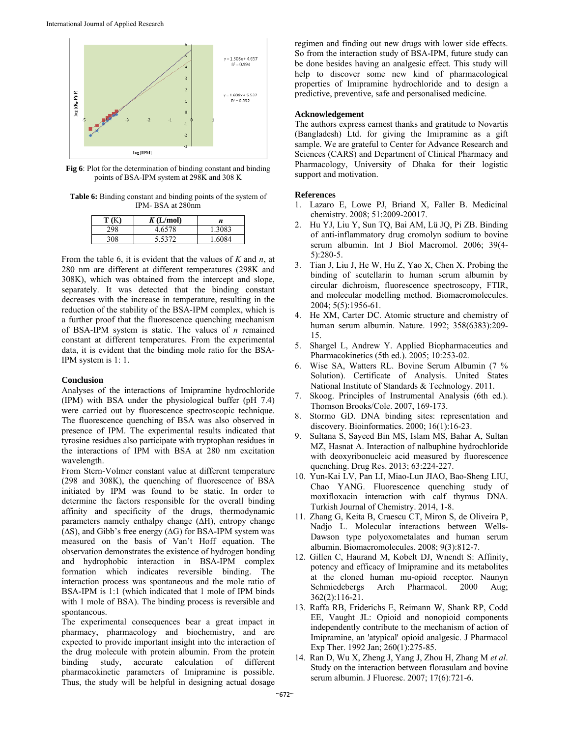

**Fig 6**: Plot for the determination of binding constant and binding points of BSA-IPM system at 298K and 308 K

**Table 6:** Binding constant and binding points of the system of IPM- BSA at 280nm

| T (K) | K(L/mol) | n      |
|-------|----------|--------|
| 298   | 4.6578   | 1.3083 |
| 308   | 5.5372   | 1.6084 |

From the table 6, it is evident that the values of *K* and *n*, at 280 nm are different at different temperatures (298K and 308K), which was obtained from the intercept and slope, separately. It was detected that the binding constant decreases with the increase in temperature, resulting in the reduction of the stability of the BSA-IPM complex, which is a further proof that the fluorescence quenching mechanism of BSA-IPM system is static. The values of *n* remained constant at different temperatures. From the experimental data, it is evident that the binding mole ratio for the BSA-IPM system is 1: 1.

## **Conclusion**

Analyses of the interactions of Imipramine hydrochloride (IPM) with BSA under the physiological buffer (pH 7.4) were carried out by fluorescence spectroscopic technique. The fluorescence quenching of BSA was also observed in presence of IPM. The experimental results indicated that tyrosine residues also participate with tryptophan residues in the interactions of IPM with BSA at 280 nm excitation wavelength.

From Stern-Volmer constant value at different temperature (298 and 308K), the quenching of fluorescence of BSA initiated by IPM was found to be static. In order to determine the factors responsible for the overall binding affinity and specificity of the drugs, thermodynamic parameters namely enthalpy change (∆H), entropy change (∆S), and Gibb's free energy (∆G) for BSA-IPM system was measured on the basis of Van't Hoff equation. The observation demonstrates the existence of hydrogen bonding and hydrophobic interaction in BSA-IPM complex formation which indicates reversible binding. The interaction process was spontaneous and the mole ratio of BSA-IPM is 1:1 (which indicated that 1 mole of IPM binds with 1 mole of BSA). The binding process is reversible and spontaneous.

The experimental consequences bear a great impact in pharmacy, pharmacology and biochemistry, and are expected to provide important insight into the interaction of the drug molecule with protein albumin. From the protein binding study, accurate calculation of different pharmacokinetic parameters of Imipramine is possible. Thus, the study will be helpful in designing actual dosage

regimen and finding out new drugs with lower side effects. So from the interaction study of BSA-IPM, future study can be done besides having an analgesic effect. This study will help to discover some new kind of pharmacological properties of Imipramine hydrochloride and to design a predictive, preventive, safe and personalised medicine.

#### **Acknowledgement**

The authors express earnest thanks and gratitude to Novartis (Bangladesh) Ltd. for giving the Imipramine as a gift sample. We are grateful to Center for Advance Research and Sciences (CARS) and Department of Clinical Pharmacy and Pharmacology, University of Dhaka for their logistic support and motivation.

#### **References**

- 1. Lazaro E, Lowe PJ, Briand X, Faller B. Medicinal chemistry. 2008; 51:2009-20017.
- 2. Hu YJ, Liu Y, Sun TQ, Bai AM, Lü JQ, Pi ZB. Binding of anti-inflammatory drug cromolyn sodium to bovine serum albumin. Int J Biol Macromol. 2006; 39(4- 5):280-5.
- 3. Tian J, Liu J, He W, Hu Z, Yao X, Chen X. Probing the binding of scutellarin to human serum albumin by circular dichroism, fluorescence spectroscopy, FTIR, and molecular modelling method. Biomacromolecules. 2004; 5(5):1956-61.
- 4. He XM, Carter DC. Atomic structure and chemistry of human serum albumin. Nature. 1992; 358(6383):209- 15.
- 5. Shargel L, Andrew Y. Applied Biopharmaceutics and Pharmacokinetics (5th ed.). 2005; 10:253-02.
- 6. Wise SA, Watters RL. Bovine Serum Albumin (7 % Solution). Certificate of Analysis. United States National Institute of Standards & Technology. 2011.
- 7. Skoog. Principles of Instrumental Analysis (6th ed.). Thomson Brooks/Cole. 2007, 169-173.
- 8. Stormo GD. DNA binding sites: representation and discovery. Bioinformatics. 2000; 16(1):16-23.
- 9. Sultana S, Sayeed Bin MS, Islam MS, Bahar A, Sultan MZ, Hasnat A. Interaction of nalbuphine hydrochloride with deoxyribonucleic acid measured by fluorescence quenching. Drug Res. 2013; 63:224-227.
- 10. Yun-Kai LV, Pan LI, Miao-Lun JIAO, Bao-Sheng LIU, Chao YANG. Fluorescence quenching study of moxifloxacin interaction with calf thymus DNA. Turkish Journal of Chemistry. 2014, 1-8.
- 11. Zhang G, Keita B, Craescu CT, Miron S, de Oliveira P, Nadjo L. Molecular interactions between Wells-Dawson type polyoxometalates and human serum albumin. Biomacromolecules. 2008; 9(3):812-7.
- 12. Gillen C, Haurand M, Kobelt DJ, Wnendt S: Affinity, potency and efficacy of Imipramine and its metabolites at the cloned human mu-opioid receptor. Naunyn Schmiedebergs Arch Pharmacol. 2000 Aug; 362(2):116-21.
- 13. Raffa RB, Friderichs E, Reimann W, Shank RP, Codd EE, Vaught JL: Opioid and nonopioid components independently contribute to the mechanism of action of Imipramine, an 'atypical' opioid analgesic. J Pharmacol Exp Ther. 1992 Jan; 260(1):275-85.
- 14. Ran D, Wu X, Zheng J, Yang J, Zhou H, Zhang M *et al*. Study on the interaction between florasulam and bovine serum albumin. J Fluoresc. 2007; 17(6):721-6.